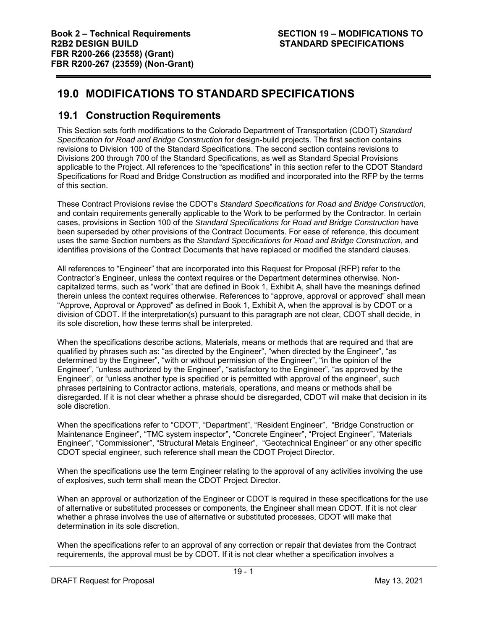# **19.0 MODIFICATIONS TO STANDARD SPECIFICATIONS**

# **19.1 Construction Requirements**

This Section sets forth modifications to the Colorado Department of Transportation (CDOT) *Standard Specification for Road and Bridge Construction* for design-build projects. The first section contains revisions to Division 100 of the Standard Specifications. The second section contains revisions to Divisions 200 through 700 of the Standard Specifications, as well as Standard Special Provisions applicable to the Project. All references to the "specifications" in this section refer to the CDOT Standard Specifications for Road and Bridge Construction as modified and incorporated into the RFP by the terms of this section.

These Contract Provisions revise the CDOT's *Standard Specifications for Road and Bridge Construction*, and contain requirements generally applicable to the Work to be performed by the Contractor. In certain cases, provisions in Section 100 of the *Standard Specifications for Road and Bridge Construction* have been superseded by other provisions of the Contract Documents. For ease of reference, this document uses the same Section numbers as the *Standard Specifications for Road and Bridge Construction*, and identifies provisions of the Contract Documents that have replaced or modified the standard clauses.

All references to "Engineer" that are incorporated into this Request for Proposal (RFP) refer to the Contractor's Engineer, unless the context requires or the Department determines otherwise. Noncapitalized terms, such as "work" that are defined in Book 1, Exhibit A, shall have the meanings defined therein unless the context requires otherwise. References to "approve, approval or approved" shall mean "Approve, Approval or Approved" as defined in Book 1, Exhibit A, when the approval is by CDOT or a division of CDOT. If the interpretation(s) pursuant to this paragraph are not clear, CDOT shall decide, in its sole discretion, how these terms shall be interpreted.

When the specifications describe actions, Materials, means or methods that are required and that are qualified by phrases such as: "as directed by the Engineer", "when directed by the Engineer", "as determined by the Engineer", "with or without permission of the Engineer", "in the opinion of the Engineer", "unless authorized by the Engineer", "satisfactory to the Engineer", "as approved by the Engineer", or "unless another type is specified or is permitted with approval of the engineer", such phrases pertaining to Contractor actions, materials, operations, and means or methods shall be disregarded. If it is not clear whether a phrase should be disregarded, CDOT will make that decision in its sole discretion.

When the specifications refer to "CDOT", "Department", "Resident Engineer", "Bridge Construction or Maintenance Engineer", "TMC system inspector", "Concrete Engineer", "Project Engineer", "Materials Engineer", "Commissioner", "Structural Metals Engineer", "Geotechnical Engineer" or any other specific CDOT special engineer, such reference shall mean the CDOT Project Director.

When the specifications use the term Engineer relating to the approval of any activities involving the use of explosives, such term shall mean the CDOT Project Director.

When an approval or authorization of the Engineer or CDOT is required in these specifications for the use of alternative or substituted processes or components, the Engineer shall mean CDOT. If it is not clear whether a phrase involves the use of alternative or substituted processes, CDOT will make that determination in its sole discretion.

When the specifications refer to an approval of any correction or repair that deviates from the Contract requirements, the approval must be by CDOT. If it is not clear whether a specification involves a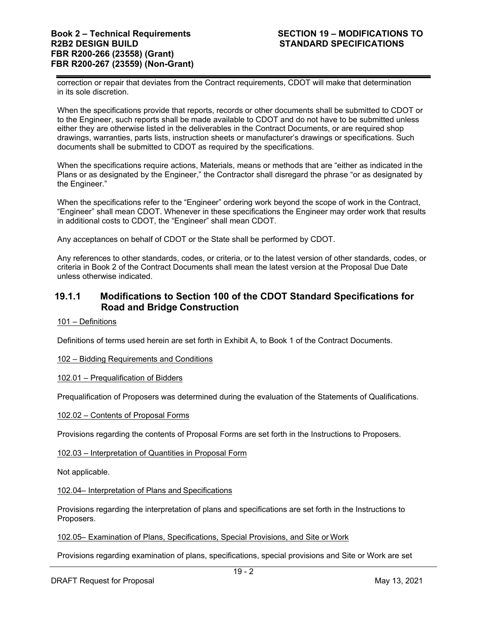correction or repair that deviates from the Contract requirements, CDOT will make that determination in its sole discretion.

When the specifications provide that reports, records or other documents shall be submitted to CDOT or to the Engineer, such reports shall be made available to CDOT and do not have to be submitted unless either they are otherwise listed in the deliverables in the Contract Documents, or are required shop drawings, warranties, parts lists, instruction sheets or manufacturer's drawings or specifications. Such documents shall be submitted to CDOT as required by the specifications.

When the specifications require actions, Materials, means or methods that are "either as indicated in the Plans or as designated by the Engineer," the Contractor shall disregard the phrase "or as designated by the Engineer."

When the specifications refer to the "Engineer" ordering work beyond the scope of work in the Contract, "Engineer" shall mean CDOT. Whenever in these specifications the Engineer may order work that results in additional costs to CDOT, the "Engineer" shall mean CDOT.

Any acceptances on behalf of CDOT or the State shall be performed by CDOT.

Any references to other standards, codes, or criteria, or to the latest version of other standards, codes, or criteria in Book 2 of the Contract Documents shall mean the latest version at the Proposal Due Date unless otherwise indicated.

# **19.1.1 Modifications to Section 100 of the CDOT Standard Specifications for Road and Bridge Construction**

101 – Definitions

Definitions of terms used herein are set forth in Exhibit A, to Book 1 of the Contract Documents.

# 102 – Bidding Requirements and Conditions

# 102.01 – Prequalification of Bidders

Prequalification of Proposers was determined during the evaluation of the Statements of Qualifications.

# 102.02 – Contents of Proposal Forms

Provisions regarding the contents of Proposal Forms are set forth in the Instructions to Proposers.

102.03 – Interpretation of Quantities in Proposal Form

Not applicable.

102.04– Interpretation of Plans and Specifications

Provisions regarding the interpretation of plans and specifications are set forth in the Instructions to Proposers.

102.05– Examination of Plans, Specifications, Special Provisions, and Site or Work

Provisions regarding examination of plans, specifications, special provisions and Site or Work are set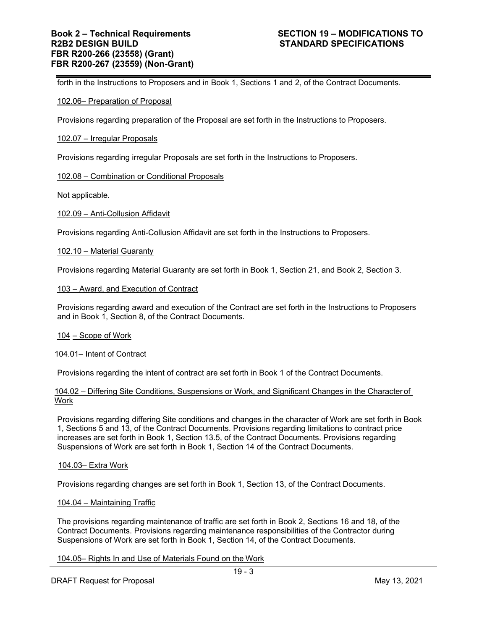forth in the Instructions to Proposers and in Book 1, Sections 1 and 2, of the Contract Documents.

## 102.06– Preparation of Proposal

Provisions regarding preparation of the Proposal are set forth in the Instructions to Proposers.

### 102.07 – Irregular Proposals

Provisions regarding irregular Proposals are set forth in the Instructions to Proposers.

### 102.08 – Combination or Conditional Proposals

Not applicable.

### 102.09 – Anti-Collusion Affidavit

Provisions regarding Anti-Collusion Affidavit are set forth in the Instructions to Proposers.

### 102.10 – Material Guaranty

Provisions regarding Material Guaranty are set forth in Book 1, Section 21, and Book 2, Section 3.

#### 103 – Award, and Execution of Contract

Provisions regarding award and execution of the Contract are set forth in the Instructions to Proposers and in Book 1, Section 8, of the Contract Documents.

#### 104 – Scope of Work

#### 104.01– Intent of Contract

Provisions regarding the intent of contract are set forth in Book 1 of the Contract Documents.

# 104.02 – Differing Site Conditions, Suspensions or Work, and Significant Changes in the Character of Work

Provisions regarding differing Site conditions and changes in the character of Work are set forth in Book 1, Sections 5 and 13, of the Contract Documents. Provisions regarding limitations to contract price increases are set forth in Book 1, Section 13.5, of the Contract Documents. Provisions regarding Suspensions of Work are set forth in Book 1, Section 14 of the Contract Documents.

# 104.03– Extra Work

Provisions regarding changes are set forth in Book 1, Section 13, of the Contract Documents.

#### 104.04 – Maintaining Traffic

The provisions regarding maintenance of traffic are set forth in Book 2, Sections 16 and 18, of the Contract Documents. Provisions regarding maintenance responsibilities of the Contractor during Suspensions of Work are set forth in Book 1, Section 14, of the Contract Documents.

# 104.05– Rights In and Use of Materials Found on the Work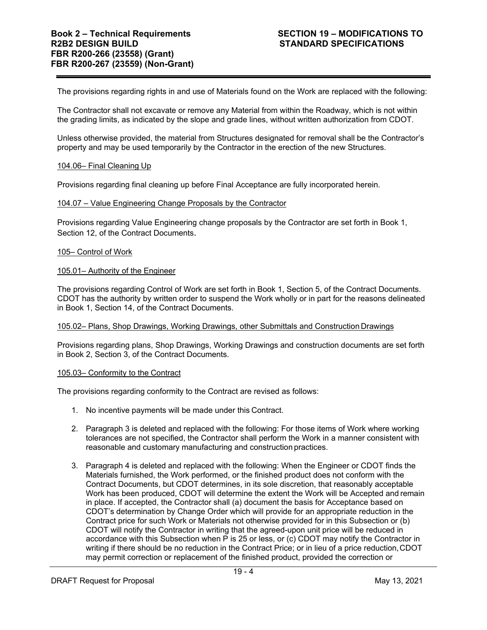The provisions regarding rights in and use of Materials found on the Work are replaced with the following:

The Contractor shall not excavate or remove any Material from within the Roadway, which is not within the grading limits, as indicated by the slope and grade lines, without written authorization from CDOT.

Unless otherwise provided, the material from Structures designated for removal shall be the Contractor's property and may be used temporarily by the Contractor in the erection of the new Structures.

# 104.06– Final Cleaning Up

Provisions regarding final cleaning up before Final Acceptance are fully incorporated herein.

### 104.07 – Value Engineering Change Proposals by the Contractor

Provisions regarding Value Engineering change proposals by the Contractor are set forth in Book 1, Section 12, of the Contract Documents.

### 105– Control of Work

### 105.01– Authority of the Engineer

The provisions regarding Control of Work are set forth in Book 1, Section 5, of the Contract Documents. CDOT has the authority by written order to suspend the Work wholly or in part for the reasons delineated in Book 1, Section 14, of the Contract Documents.

#### 105.02– Plans, Shop Drawings, Working Drawings, other Submittals and Construction Drawings

Provisions regarding plans, Shop Drawings, Working Drawings and construction documents are set forth in Book 2, Section 3, of the Contract Documents.

#### 105.03– Conformity to the Contract

The provisions regarding conformity to the Contract are revised as follows:

- 1. No incentive payments will be made under this Contract.
- 2. Paragraph 3 is deleted and replaced with the following: For those items of Work where working tolerances are not specified, the Contractor shall perform the Work in a manner consistent with reasonable and customary manufacturing and construction practices.
- 3. Paragraph 4 is deleted and replaced with the following: When the Engineer or CDOT finds the Materials furnished, the Work performed, or the finished product does not conform with the Contract Documents, but CDOT determines, in its sole discretion, that reasonably acceptable Work has been produced, CDOT will determine the extent the Work will be Accepted and remain in place. If accepted, the Contractor shall (a) document the basis for Acceptance based on CDOT's determination by Change Order which will provide for an appropriate reduction in the Contract price for such Work or Materials not otherwise provided for in this Subsection or (b) CDOT will notify the Contractor in writing that the agreed-upon unit price will be reduced in accordance with this Subsection when  $\overline{P}$  is 25 or less, or (c) CDOT may notify the Contractor in writing if there should be no reduction in the Contract Price; or in lieu of a price reduction, CDOT may permit correction or replacement of the finished product, provided the correction or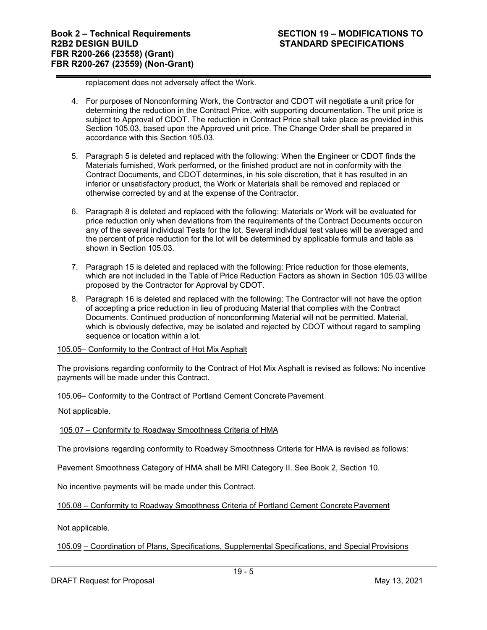replacement does not adversely affect the Work.

- 4. For purposes of Nonconforming Work, the Contractor and CDOT will negotiate a unit price for determining the reduction in the Contract Price, with supporting documentation. The unit price is subject to Approval of CDOT. The reduction in Contract Price shall take place as provided in this Section 105.03, based upon the Approved unit price. The Change Order shall be prepared in accordance with this Section 105.03.
- 5. Paragraph 5 is deleted and replaced with the following: When the Engineer or CDOT finds the Materials furnished, Work performed, or the finished product are not in conformity with the Contract Documents, and CDOT determines, in his sole discretion, that it has resulted in an inferior or unsatisfactory product, the Work or Materials shall be removed and replaced or otherwise corrected by and at the expense of the Contractor.
- 6. Paragraph 8 is deleted and replaced with the following: Materials or Work will be evaluated for price reduction only when deviations from the requirements of the Contract Documents occur on any of the several individual Tests for the lot. Several individual test values will be averaged and the percent of price reduction for the lot will be determined by applicable formula and table as shown in Section 105.03.
- 7. Paragraph 15 is deleted and replaced with the following: Price reduction for those elements, which are not included in the Table of Price Reduction Factors as shown in Section 105.03 will be proposed by the Contractor for Approval by CDOT.
- 8. Paragraph 16 is deleted and replaced with the following: The Contractor will not have the option of accepting a price reduction in lieu of producing Material that complies with the Contract Documents. Continued production of nonconforming Material will not be permitted. Material, which is obviously defective, may be isolated and rejected by CDOT without regard to sampling sequence or location within a lot.

# 105.05– Conformity to the Contract of Hot Mix Asphalt

The provisions regarding conformity to the Contract of Hot Mix Asphalt is revised as follows: No incentive payments will be made under this Contract.

105.06– Conformity to the Contract of Portland Cement Concrete Pavement

Not applicable.

105.07 – Conformity to Roadway Smoothness Criteria of HMA

The provisions regarding conformity to Roadway Smoothness Criteria for HMA is revised as follows:

Pavement Smoothness Category of HMA shall be MRI Category II. See Book 2, Section 10.

No incentive payments will be made under this Contract.

105.08 – Conformity to Roadway Smoothness Criteria of Portland Cement Concrete Pavement

Not applicable.

105.09 – Coordination of Plans, Specifications, Supplemental Specifications, and Special Provisions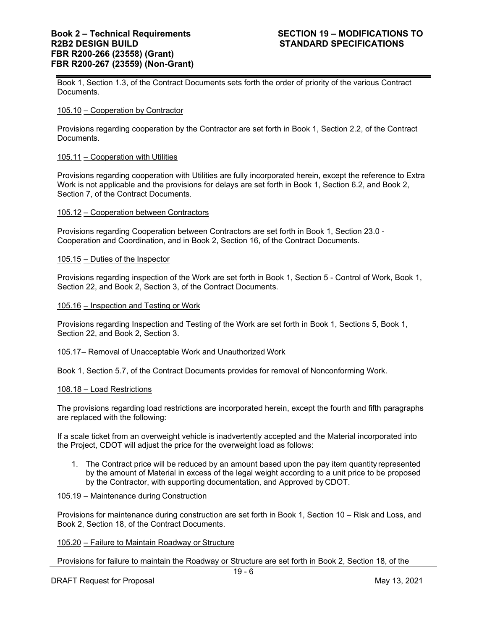Book 1, Section 1.3, of the Contract Documents sets forth the order of priority of the various Contract Documents.

### 105.10 – Cooperation by Contractor

Provisions regarding cooperation by the Contractor are set forth in Book 1, Section 2.2, of the Contract Documents.

### 105.11 – Cooperation with Utilities

Provisions regarding cooperation with Utilities are fully incorporated herein, except the reference to Extra Work is not applicable and the provisions for delays are set forth in Book 1, Section 6.2, and Book 2, Section 7, of the Contract Documents.

### 105.12 – Cooperation between Contractors

Provisions regarding Cooperation between Contractors are set forth in Book 1, Section 23.0 - Cooperation and Coordination, and in Book 2, Section 16, of the Contract Documents.

### 105.15 – Duties of the Inspector

Provisions regarding inspection of the Work are set forth in Book 1, Section 5 - Control of Work, Book 1, Section 22, and Book 2, Section 3, of the Contract Documents.

### 105.16 – Inspection and Testing or Work

Provisions regarding Inspection and Testing of the Work are set forth in Book 1, Sections 5, Book 1, Section 22, and Book 2, Section 3.

#### 105.17 – Removal of Unacceptable Work and Unauthorized Work

Book 1, Section 5.7, of the Contract Documents provides for removal of Nonconforming Work.

#### 108.18 – Load Restrictions

The provisions regarding load restrictions are incorporated herein, except the fourth and fifth paragraphs are replaced with the following:

If a scale ticket from an overweight vehicle is inadvertently accepted and the Material incorporated into the Project, CDOT will adjust the price for the overweight load as follows:

1. The Contract price will be reduced by an amount based upon the pay item quantity represented by the amount of Material in excess of the legal weight according to a unit price to be proposed by the Contractor, with supporting documentation, and Approved by CDOT.

### 105.19 – Maintenance during Construction

Provisions for maintenance during construction are set forth in Book 1, Section 10 – Risk and Loss, and Book 2, Section 18, of the Contract Documents.

# 105.20 – Failure to Maintain Roadway or Structure

Provisions for failure to maintain the Roadway or Structure are set forth in Book 2, Section 18, of the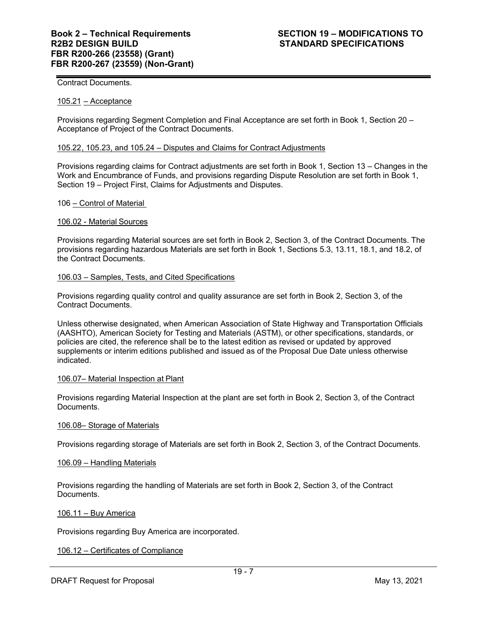Contract Documents.

### 105.21 – Acceptance

Provisions regarding Segment Completion and Final Acceptance are set forth in Book 1, Section 20 – Acceptance of Project of the Contract Documents.

#### 105.22 , 105.23, and 105.24 – Disputes and Claims for Contract Adjustments

Provisions regarding claims for Contract adjustments are set forth in Book 1, Section 13 – Changes in the Work and Encumbrance of Funds, and provisions regarding Dispute Resolution are set forth in Book 1, Section 19 – Project First, Claims for Adjustments and Disputes.

#### 106 – Control of Material

### 106.02 - Material Sources

Provisions regarding Material sources are set forth in Book 2, Section 3, of the Contract Documents. The provisions regarding hazardous Materials are set forth in Book 1, Sections 5.3, 13.11, 18.1, and 18.2, of the Contract Documents.

### 106.03 – Samples, Tests, and Cited Specifications

Provisions regarding quality control and quality assurance are set forth in Book 2, Section 3, of the Contract Documents.

Unless otherwise designated, when American Association of State Highway and Transportation Officials (AASHTO), American Society for Testing and Materials (ASTM), or other specifications, standards, or policies are cited, the reference shall be to the latest edition as revised or updated by approved supplements or interim editions published and issued as of the Proposal Due Date unless otherwise indicated.

#### 106.07– Material Inspection at Plant

Provisions regarding Material Inspection at the plant are set forth in Book 2, Section 3, of the Contract Documents.

#### 106.08– Storage of Materials

Provisions regarding storage of Materials are set forth in Book 2, Section 3, of the Contract Documents.

# 106.09 – Handling Materials

Provisions regarding the handling of Materials are set forth in Book 2, Section 3, of the Contract Documents.

#### 106.11 – Buy America

Provisions regarding Buy America are incorporated.

106.12 – Certificates of Compliance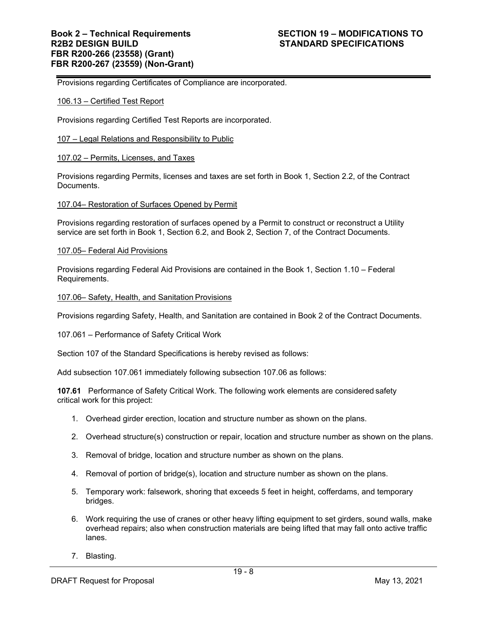Provisions regarding Certificates of Compliance are incorporated.

### 106.13 – Certified Test Report

Provisions regarding Certified Test Reports are incorporated.

### 107 – Legal Relations and Responsibility to Public

### 107.02 – Permits, Licenses, and Taxes

Provisions regarding Permits, licenses and taxes are set forth in Book 1, Section 2.2, of the Contract Documents.

### 107.04– Restoration of Surfaces Opened by Permit

Provisions regarding restoration of surfaces opened by a Permit to construct or reconstruct a Utility service are set forth in Book 1, Section 6.2, and Book 2, Section 7, of the Contract Documents.

### 107.05– Federal Aid Provisions

Provisions regarding Federal Aid Provisions are contained in the Book 1, Section 1.10 – Federal Requirements.

### 107.06– Safety, Health, and Sanitation Provisions

Provisions regarding Safety, Health, and Sanitation are contained in Book 2 of the Contract Documents.

107.061 – Performance of Safety Critical Work

Section 107 of the Standard Specifications is hereby revised as follows:

Add subsection 107.061 immediately following subsection 107.06 as follows:

**107.61** Performance of Safety Critical Work. The following work elements are considered safety critical work for this project:

- 1. Overhead girder erection, location and structure number as shown on the plans.
- 2. Overhead structure(s) construction or repair, location and structure number as shown on the plans.
- 3. Removal of bridge, location and structure number as shown on the plans.
- 4. Removal of portion of bridge(s), location and structure number as shown on the plans.
- 5. Temporary work: falsework, shoring that exceeds 5 feet in height, cofferdams, and temporary bridges.
- 6. Work requiring the use of cranes or other heavy lifting equipment to set girders, sound walls, make overhead repairs; also when construction materials are being lifted that may fall onto active traffic lanes.
- 7. Blasting.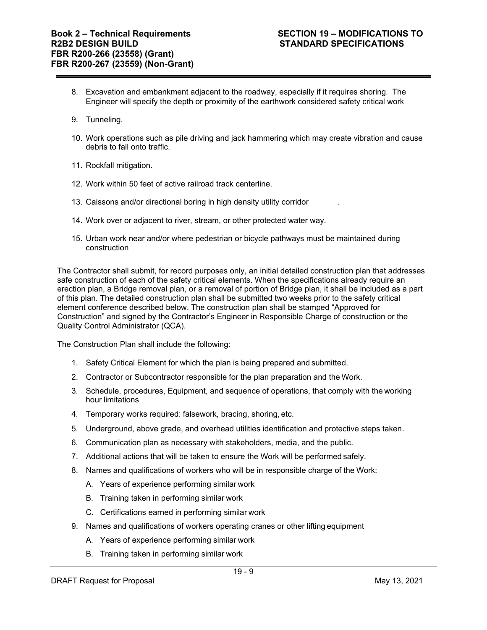- 8. Excavation and embankment adjacent to the roadway, especially if it requires shoring. The Engineer will specify the depth or proximity of the earthwork considered safety critical work
- 9. Tunneling.
- 10. Work operations such as pile driving and jack hammering which may create vibration and cause debris to fall onto traffic.
- 11. Rockfall mitigation.
- 12. Work within 50 feet of active railroad track centerline.
- 13. Caissons and/or directional boring in high density utility corridor .
- 14. Work over or adjacent to river, stream, or other protected water way.
- 15. Urban work near and/or where pedestrian or bicycle pathways must be maintained during construction

The Contractor shall submit, for record purposes only, an initial detailed construction plan that addresses safe construction of each of the safety critical elements. When the specifications already require an erection plan, a Bridge removal plan, or a removal of portion of Bridge plan, it shall be included as a part of this plan. The detailed construction plan shall be submitted two weeks prior to the safety critical element conference described below. The construction plan shall be stamped "Approved for Construction" and signed by the Contractor's Engineer in Responsible Charge of construction or the Quality Control Administrator (QCA).

The Construction Plan shall include the following:

- 1. Safety Critical Element for which the plan is being prepared and submitted.
- 2. Contractor or Subcontractor responsible for the plan preparation and the Work.
- 3. Schedule, procedures, Equipment, and sequence of operations, that comply with the working hour limitations
- 4. Temporary works required: falsework, bracing, shoring, etc.
- 5. Underground, above grade, and overhead utilities identification and protective steps taken.
- 6. Communication plan as necessary with stakeholders, media, and the public.
- 7. Additional actions that will be taken to ensure the Work will be performed safely.
- 8. Names and qualifications of workers who will be in responsible charge of the Work:
	- A. Years of experience performing similar work
	- B. Training taken in performing similar work
	- C. Certifications earned in performing similar work
- 9. Names and qualifications of workers operating cranes or other lifting equipment
	- A. Years of experience performing similar work
	- B. Training taken in performing similar work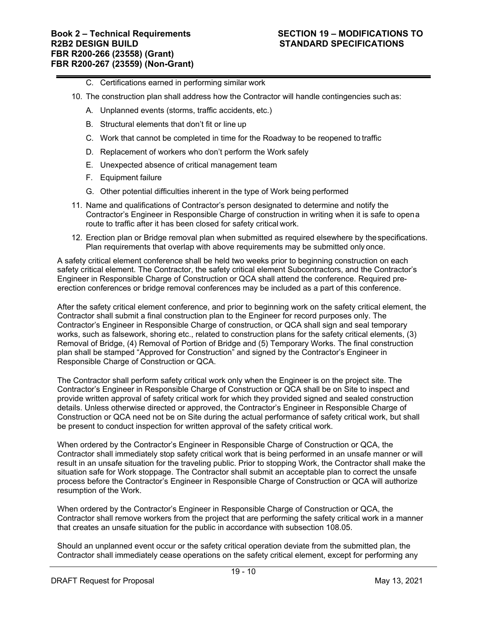- C. Certifications earned in performing similar work
- 10. The construction plan shall address how the Contractor will handle contingencies such as:
	- A. Unplanned events (storms, traffic accidents, etc.)
	- B. Structural elements that don't fit or line up
	- C. Work that cannot be completed in time for the Roadway to be reopened to traffic
	- D. Replacement of workers who don't perform the Work safely
	- E. Unexpected absence of critical management team
	- F. Equipment failure
	- G. Other potential difficulties inherent in the type of Work being performed
- 11. Name and qualifications of Contractor's person designated to determine and notify the Contractor's Engineer in Responsible Charge of construction in writing when it is safe to open a route to traffic after it has been closed for safety critical work.
- 12. Erection plan or Bridge removal plan when submitted as required elsewhere by the specifications. Plan requirements that overlap with above requirements may be submitted only once.

A safety critical element conference shall be held two weeks prior to beginning construction on each safety critical element. The Contractor, the safety critical element Subcontractors, and the Contractor's Engineer in Responsible Charge of Construction or QCA shall attend the conference. Required preerection conferences or bridge removal conferences may be included as a part of this conference.

After the safety critical element conference, and prior to beginning work on the safety critical element, the Contractor shall submit a final construction plan to the Engineer for record purposes only. The Contractor's Engineer in Responsible Charge of construction, or QCA shall sign and seal temporary works, such as falsework, shoring etc., related to construction plans for the safety critical elements, (3) Removal of Bridge, (4) Removal of Portion of Bridge and (5) Temporary Works. The final construction plan shall be stamped "Approved for Construction" and signed by the Contractor's Engineer in Responsible Charge of Construction or QCA.

The Contractor shall perform safety critical work only when the Engineer is on the project site. The Contractor's Engineer in Responsible Charge of Construction or QCA shall be on Site to inspect and provide written approval of safety critical work for which they provided signed and sealed construction details. Unless otherwise directed or approved, the Contractor's Engineer in Responsible Charge of Construction or QCA need not be on Site during the actual performance of safety critical work, but shall be present to conduct inspection for written approval of the safety critical work.

When ordered by the Contractor's Engineer in Responsible Charge of Construction or QCA, the Contractor shall immediately stop safety critical work that is being performed in an unsafe manner or will result in an unsafe situation for the traveling public. Prior to stopping Work, the Contractor shall make the situation safe for Work stoppage. The Contractor shall submit an acceptable plan to correct the unsafe process before the Contractor's Engineer in Responsible Charge of Construction or QCA will authorize resumption of the Work.

When ordered by the Contractor's Engineer in Responsible Charge of Construction or QCA, the Contractor shall remove workers from the project that are performing the safety critical work in a manner that creates an unsafe situation for the public in accordance with subsection 108.05.

Should an unplanned event occur or the safety critical operation deviate from the submitted plan, the Contractor shall immediately cease operations on the safety critical element, except for performing any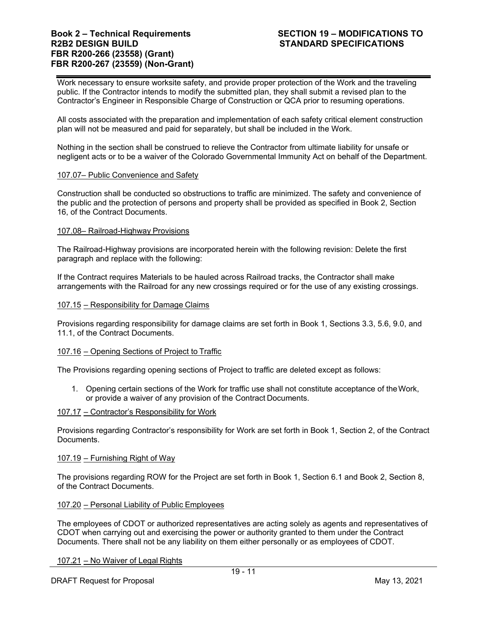Work necessary to ensure worksite safety, and provide proper protection of the Work and the traveling public. If the Contractor intends to modify the submitted plan, they shall submit a revised plan to the Contractor's Engineer in Responsible Charge of Construction or QCA prior to resuming operations.

All costs associated with the preparation and implementation of each safety critical element construction plan will not be measured and paid for separately, but shall be included in the Work.

Nothing in the section shall be construed to relieve the Contractor from ultimate liability for unsafe or negligent acts or to be a waiver of the Colorado Governmental Immunity Act on behalf of the Department.

# 107.07– Public Convenience and Safety

Construction shall be conducted so obstructions to traffic are minimized. The safety and convenience of the public and the protection of persons and property shall be provided as specified in Book 2, Section 16, of the Contract Documents.

# 107.08– Railroad-Highway Provisions

The Railroad-Highway provisions are incorporated herein with the following revision: Delete the first paragraph and replace with the following:

If the Contract requires Materials to be hauled across Railroad tracks, the Contractor shall make arrangements with the Railroad for any new crossings required or for the use of any existing crossings.

# 107.15 – Responsibility for Damage Claims

Provisions regarding responsibility for damage claims are set forth in Book 1, Sections 3.3, 5.6, 9.0, and 11.1, of the Contract Documents.

# 107.16 – Opening Sections of Project to Traffic

The Provisions regarding opening sections of Project to traffic are deleted except as follows:

1. Opening certain sections of the Work for traffic use shall not constitute acceptance of the Work, or provide a waiver of any provision of the Contract Documents.

# 107.17 – Contractor's Responsibility for Work

Provisions regarding Contractor's responsibility for Work are set forth in Book 1, Section 2, of the Contract Documents.

# 107.19 – Furnishing Right of Way

The provisions regarding ROW for the Project are set forth in Book 1, Section 6.1 and Book 2, Section 8, of the Contract Documents.

# 107.20 – Personal Liability of Public Employees

The employees of CDOT or authorized representatives are acting solely as agents and representatives of CDOT when carrying out and exercising the power or authority granted to them under the Contract Documents. There shall not be any liability on them either personally or as employees of CDOT.

107.21 – No Waiver of Legal Rights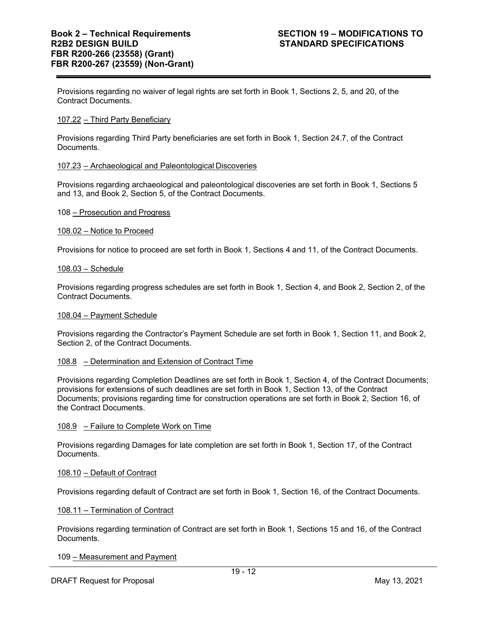Provisions regarding no waiver of legal rights are set forth in Book 1, Sections 2, 5, and 20, of the Contract Documents.

# 107.22 – Third Party Beneficiary

Provisions regarding Third Party beneficiaries are set forth in Book 1, Section 24.7, of the Contract Documents.

# 107.23 – Archaeological and Paleontological Discoveries

Provisions regarding archaeological and paleontological discoveries are set forth in Book 1, Sections 5 and 13, and Book 2, Section 5, of the Contract Documents.

# 108 – Prosecution and Progress

# 108.02 – Notice to Proceed

Provisions for notice to proceed are set forth in Book 1, Sections 4 and 11, of the Contract Documents.

### 108.03 – Schedule

Provisions regarding progress schedules are set forth in Book 1, Section 4, and Book 2, Section 2, of the Contract Documents.

## 108.04 – Payment Schedule

Provisions regarding the Contractor's Payment Schedule are set forth in Book 1, Section 11, and Book 2, Section 2, of the Contract Documents.

# 108.8 – Determination and Extension of Contract Time

Provisions regarding Completion Deadlines are set forth in Book 1, Section 4, of the Contract Documents; provisions for extensions of such deadlines are set forth in Book 1, Section 13, of the Contract Documents; provisions regarding time for construction operations are set forth in Book 2, Section 16, of the Contract Documents.

# 108.9 – Failure to Complete Work on Time

Provisions regarding Damages for late completion are set forth in Book 1, Section 17, of the Contract Documents.

# 108.10 – Default of Contract

Provisions regarding default of Contract are set forth in Book 1, Section 16, of the Contract Documents.

#### 108.11 – Termination of Contract

Provisions regarding termination of Contract are set forth in Book 1, Sections 15 and 16, of the Contract Documents.

109 – Measurement and Payment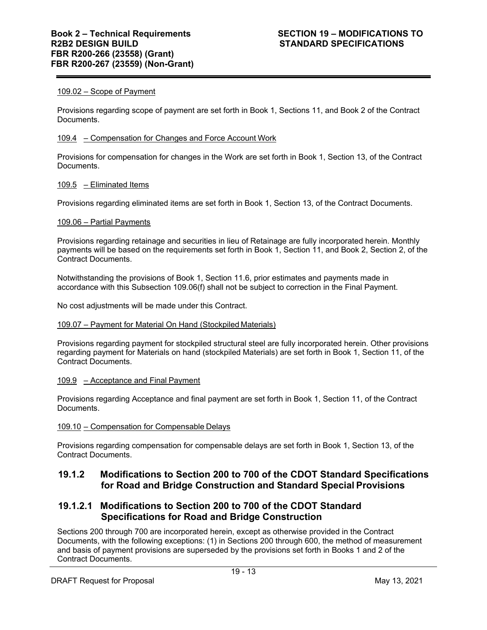# 109.02 – Scope of Payment

Provisions regarding scope of payment are set forth in Book 1, Sections 11, and Book 2 of the Contract Documents.

# 109.4 – Compensation for Changes and Force Account Work

Provisions for compensation for changes in the Work are set forth in Book 1, Section 13, of the Contract Documents.

# 109.5 – Eliminated Items

Provisions regarding eliminated items are set forth in Book 1, Section 13, of the Contract Documents.

# 109.06 – Partial Payments

Provisions regarding retainage and securities in lieu of Retainage are fully incorporated herein. Monthly payments will be based on the requirements set forth in Book 1, Section 11, and Book 2, Section 2, of the Contract Documents.

Notwithstanding the provisions of Book 1, Section 11.6, prior estimates and payments made in accordance with this Subsection 109.06(f) shall not be subject to correction in the Final Payment.

No cost adjustments will be made under this Contract.

# 109.07 – Payment for Material On Hand (Stockpiled Materials)

Provisions regarding payment for stockpiled structural steel are fully incorporated herein. Other provisions regarding payment for Materials on hand (stockpiled Materials) are set forth in Book 1, Section 11, of the Contract Documents.

# 109.9 – Acceptance and Final Payment

Provisions regarding Acceptance and final payment are set forth in Book 1, Section 11, of the Contract Documents.

# 109.10 – Compensation for Compensable Delays

Provisions regarding compensation for compensable delays are set forth in Book 1, Section 13, of the Contract Documents.

# **19.1.2 Modifications to Section 200 to 700 of the CDOT Standard Specifications for Road and Bridge Construction and Standard Special Provisions**

# **19.1.2.1 Modifications to Section 200 to 700 of the CDOT Standard Specifications for Road and Bridge Construction**

Sections 200 through 700 are incorporated herein, except as otherwise provided in the Contract Documents, with the following exceptions: (1) in Sections 200 through 600, the method of measurement and basis of payment provisions are superseded by the provisions set forth in Books 1 and 2 of the Contract Documents.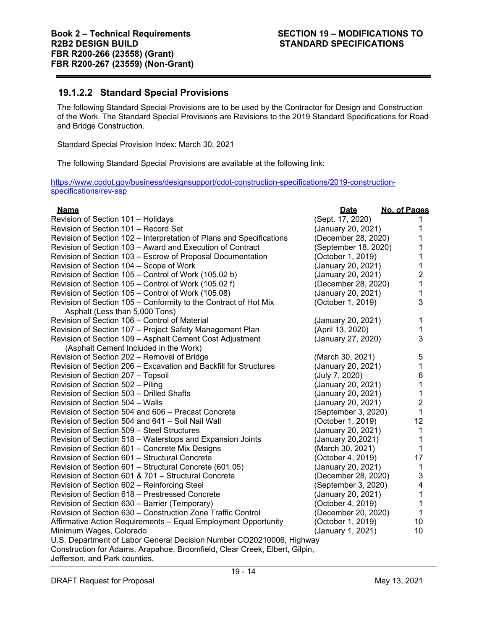# **19.1.2.2 Standard Special Provisions**

The following Standard Special Provisions are to be used by the Contractor for Design and Construction of the Work. The Standard Special Provisions are Revisions to the 2019 Standard Specifications for Road and Bridge Construction.

Standard Special Provision Index: March 30, 2021

The following Standard Special Provisions are available at the following link:

https://www.codot.gov/business/designsupport/cdot-construction-specifications/2019-constructionspecifications/rev-ssp

| <b>Name</b>                                                                | <b>Date</b>          | No. of Pages              |
|----------------------------------------------------------------------------|----------------------|---------------------------|
| Revision of Section 101 - Holidays                                         | (Sept. 17, 2020)     |                           |
| Revision of Section 101 - Record Set                                       | (January 20, 2021)   | 1                         |
| Revision of Section 102 - Interpretation of Plans and Specifications       | (December 28, 2020)  |                           |
| Revision of Section 103 - Award and Execution of Contract                  | (September 18, 2020) |                           |
| Revision of Section 103 - Escrow of Proposal Documentation                 | (October 1, 2019)    | 1                         |
| Revision of Section 104 - Scope of Work                                    | (January 20, 2021)   | 1                         |
| Revision of Section 105 - Control of Work (105.02 b)                       | (January 20, 2021)   | $\overline{c}$            |
| Revision of Section 105 – Control of Work (105.02 f)                       | (December 28, 2020)  | 1                         |
| Revision of Section 105 - Control of Work (105.08)                         | (January 20, 2021)   | 1                         |
| Revision of Section 105 - Conformity to the Contract of Hot Mix            | (October 1, 2019)    | 3                         |
| Asphalt (Less than 5,000 Tons)                                             |                      |                           |
| Revision of Section 106 – Control of Material                              | (January 20, 2021)   | 1                         |
| Revision of Section 107 - Project Safety Management Plan                   | (April 13, 2020)     | 1                         |
| Revision of Section 109 - Asphalt Cement Cost Adjustment                   | (January 27, 2020)   | 3                         |
| (Asphalt Cement Included in the Work)                                      |                      |                           |
| Revision of Section 202 - Removal of Bridge                                | (March 30, 2021)     | 5                         |
| Revision of Section 206 - Excavation and Backfill for Structures           | (January 20, 2021)   | $\mathbf{1}$              |
| Revision of Section 207 - Topsoil                                          | (July 7, 2020)       | 6                         |
| Revision of Section 502 - Piling                                           | (January 20, 2021)   | 1                         |
| Revision of Section 503 - Drilled Shafts                                   | (January 20, 2021)   | 1                         |
| Revision of Section 504 - Walls                                            | (January 20, 2021)   | $\overline{2}$            |
| Revision of Section 504 and 606 – Precast Concrete                         | (September 3, 2020)  | 1                         |
| Revision of Section 504 and 641 - Soil Nail Wall                           | (October 1, 2019)    | 12                        |
| Revision of Section 509 - Steel Structures                                 | (January 20, 2021)   | 1                         |
| Revision of Section 518 - Waterstops and Expansion Joints                  | (January 20,2021)    | 1                         |
| Revision of Section 601 - Concrete Mix Designs                             | (March 30, 2021)     | 1                         |
| Revision of Section 601 - Structural Concrete                              | (October 4, 2019)    | 17                        |
| Revision of Section 601 - Structural Concrete (601.05)                     | (January 20, 2021)   | 1                         |
| Revision of Section 601 & 701 - Structural Concrete                        | (December 28, 2020)  | $\ensuremath{\mathsf{3}}$ |
| Revision of Section 602 - Reinforcing Steel                                | (September 3, 2020)  | 4                         |
| Revision of Section 618 – Prestressed Concrete                             | (January 20, 2021)   | 1                         |
| Revision of Section 630 - Barrier (Temporary)                              | (October 4, 2019)    | 1                         |
| Revision of Section 630 – Construction Zone Traffic Control                | (December 20, 2020)  | 1                         |
| Affirmative Action Requirements - Equal Employment Opportunity             | (October 1, 2019)    | 10                        |
| Minimum Wages, Colorado                                                    | (January 1, 2021)    | 10                        |
| U.S. Department of Labor General Decision Number CO20210006, Highway       |                      |                           |
| Construction for Adams, Arapahoe, Broomfield, Clear Creek, Elbert, Gilpin, |                      |                           |
| والمستحور والمحال والمستور والمتحدث والكمار                                |                      |                           |